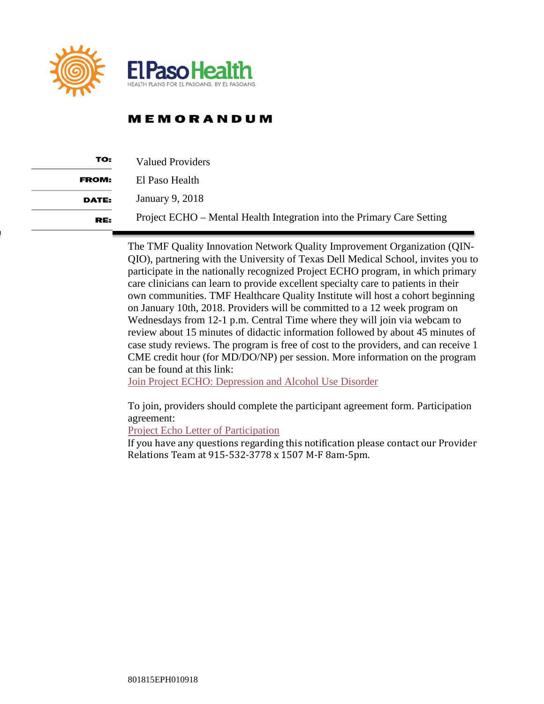

## **MEMORANDUM**

| TO:          | <b>Valued Providers</b>                                                |
|--------------|------------------------------------------------------------------------|
| <b>FROM:</b> | El Paso Health                                                         |
| <b>DATE:</b> | January 9, 2018                                                        |
| RE:          | Project ECHO – Mental Health Integration into the Primary Care Setting |

The TMF Quality Innovation Network Quality Improvement Organization (QIN-QIO), partnering with the University of Texas Dell Medical School, invites you to participate in the nationally recognized Project ECHO program, in which primary care clinicians can learn to provide excellent specialty care to patients in their own communities. TMF Healthcare Quality Institute will host a cohort beginning on January 10th, 2018. Providers will be committed to a 12 week program on Wednesdays from 12-1 p.m. Central Time where they will join via webcam to review about 15 minutes of didactic information followed by about 45 minutes of case study reviews. The program is free of cost to the providers, and can receive 1 CME credit hour (for MD/DO/NP) per session. More information on the program can be found at this link:

[Join Project ECHO: Depression and Alcohol Use Disorder](https://www.tmfqin.org/Portals/0/Resource%20Center/Behavioral%20Health/Join%20Project%20ECHO_Final_508.pdf.)

To join, providers should complete the participant agreement form. Participation agreement:

[Project Echo Letter of Participation](https://www.tmfqin.org/Portals/0/Resource%20Center/Behavioral%20Health/Project%20ECHO%20Participation%20Agreement.pdf.)

If you have any questions regarding this notification please contact our Provider Relations Team at 915-532-3778 x 1507 M-F 8am-5pm.